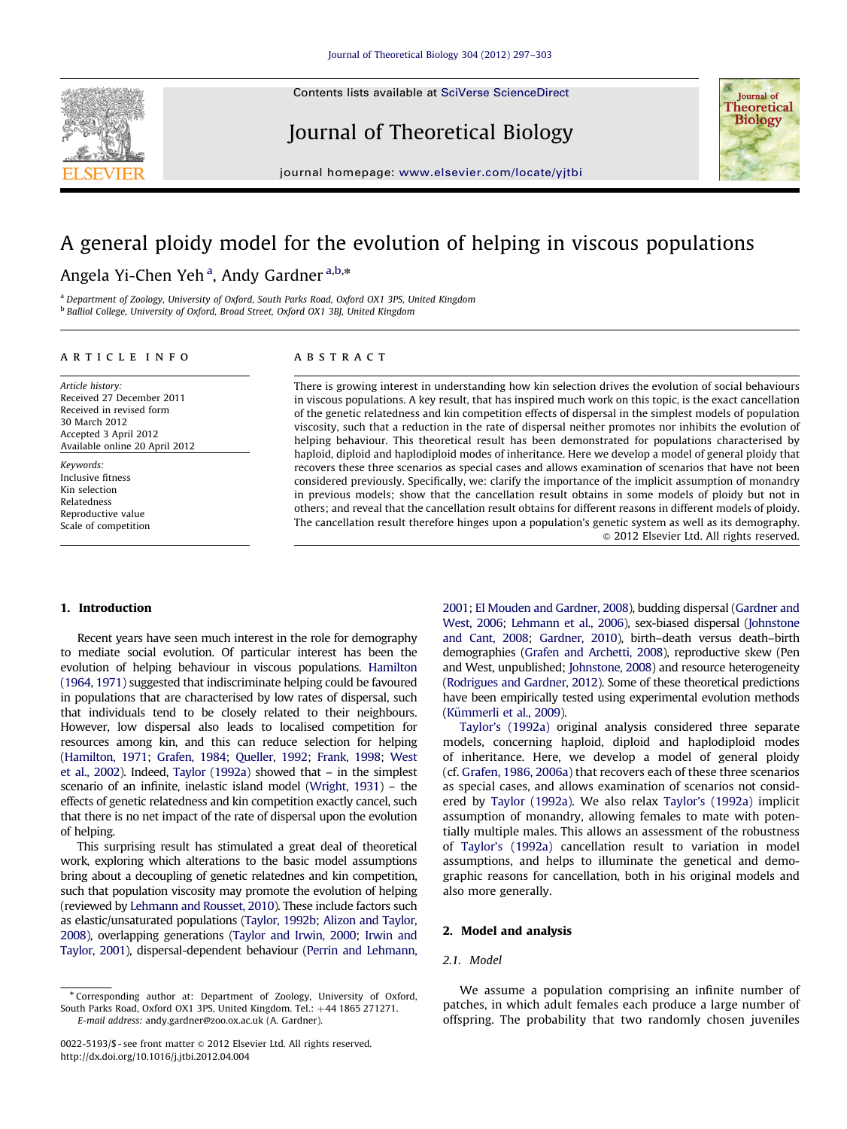Contents lists available at [SciVerse ScienceDirect](www.elsevier.com/locate/yjtbi)



Journal of Theoretical Biology



journal homepage: <www.elsevier.com/locate/yjtbi>

# A general ploidy model for the evolution of helping in viscous populations

# Angela Yi-Chen Yeh<sup>a</sup>, Andy Gardner<sup>a,b,</sup>\*

<sup>a</sup> Department of Zoology, University of Oxford, South Parks Road, Oxford OX1 3PS, United Kingdom <sup>b</sup> Balliol College, University of Oxford, Broad Street, Oxford OX1 3BJ, United Kingdom

#### article info

Article history: Received 27 December 2011 Received in revised form 30 March 2012 Accepted 3 April 2012 Available online 20 April 2012

Keywords: Inclusive fitness Kin selection Relatedness Reproductive value Scale of competition

# ABSTRACT

There is growing interest in understanding how kin selection drives the evolution of social behaviours in viscous populations. A key result, that has inspired much work on this topic, is the exact cancellation of the genetic relatedness and kin competition effects of dispersal in the simplest models of population viscosity, such that a reduction in the rate of dispersal neither promotes nor inhibits the evolution of helping behaviour. This theoretical result has been demonstrated for populations characterised by haploid, diploid and haplodiploid modes of inheritance. Here we develop a model of general ploidy that recovers these three scenarios as special cases and allows examination of scenarios that have not been considered previously. Specifically, we: clarify the importance of the implicit assumption of monandry in previous models; show that the cancellation result obtains in some models of ploidy but not in others; and reveal that the cancellation result obtains for different reasons in different models of ploidy. The cancellation result therefore hinges upon a population's genetic system as well as its demography.  $\odot$  2012 Elsevier Ltd. All rights reserved.

#### 1. Introduction

Recent years have seen much interest in the role for demography to mediate social evolution. Of particular interest has been the evolution of helping behaviour in viscous populations. [Hamilton](#page-5-0) [\(1964,](#page-5-0) [1971\)](#page-5-0) suggested that indiscriminate helping could be favoured in populations that are characterised by low rates of dispersal, such that individuals tend to be closely related to their neighbours. However, low dispersal also leads to localised competition for resources among kin, and this can reduce selection for helping [\(Hamilton, 1971;](#page-5-0) [Grafen, 1984;](#page-5-0) [Queller, 1992](#page-6-0); [Frank, 1998;](#page-5-0) [West](#page-6-0) [et al., 2002](#page-6-0)). Indeed, [Taylor \(1992a\)](#page-6-0) showed that – in the simplest scenario of an infinite, inelastic island model [\(Wright, 1931](#page-6-0)) – the effects of genetic relatedness and kin competition exactly cancel, such that there is no net impact of the rate of dispersal upon the evolution of helping.

This surprising result has stimulated a great deal of theoretical work, exploring which alterations to the basic model assumptions bring about a decoupling of genetic relatednes and kin competition, such that population viscosity may promote the evolution of helping (reviewed by [Lehmann and Rousset, 2010\)](#page-6-0). These include factors such as elastic/unsaturated populations [\(Taylor, 1992b](#page-6-0); [Alizon and Taylor,](#page-5-0) [2008\)](#page-5-0), overlapping generations [\(Taylor and Irwin, 2000](#page-6-0); [Irwin and](#page-5-0) [Taylor, 2001](#page-5-0)), dispersal-dependent behaviour [\(Perrin and Lehmann,](#page-6-0)

<sup>n</sup> Corresponding author at: Department of Zoology, University of Oxford, South Parks Road, Oxford OX1 3PS, United Kingdom. Tel.: +44 1865 271271. E-mail address: [andy.gardner@zoo.ox.ac.uk \(A. Gardner\)](mailto:andy.gardner@zoo.ox.ac.uk).

[2001;](#page-6-0) [El Mouden and Gardner, 2008](#page-5-0)), budding dispersal [\(Gardner and](#page-5-0) [West, 2006;](#page-5-0) [Lehmann et al., 2006\)](#page-6-0), sex-biased dispersal ([Johnstone](#page-5-0) [and Cant, 2008;](#page-5-0) [Gardner, 2010](#page-5-0)), birth–death versus death–birth demographies [\(Grafen and Archetti, 2008](#page-5-0)), reproductive skew (Pen and West, unpublished; [Johnstone, 2008](#page-5-0)) and resource heterogeneity [\(Rodrigues and Gardner, 2012](#page-6-0)). Some of these theoretical predictions have been empirically tested using experimental evolution methods (Kümmerli et al., 2009).

[Taylor's \(1992a\)](#page-6-0) original analysis considered three separate models, concerning haploid, diploid and haplodiploid modes of inheritance. Here, we develop a model of general ploidy (cf. [Grafen, 1986,](#page-5-0) [2006a\)](#page-5-0) that recovers each of these three scenarios as special cases, and allows examination of scenarios not considered by [Taylor \(1992a\)](#page-6-0). We also relax [Taylor's \(1992a\)](#page-6-0) implicit assumption of monandry, allowing females to mate with potentially multiple males. This allows an assessment of the robustness of [Taylor's \(1992a\)](#page-6-0) cancellation result to variation in model assumptions, and helps to illuminate the genetical and demographic reasons for cancellation, both in his original models and also more generally.

# 2. Model and analysis

# 2.1. Model

We assume a population comprising an infinite number of patches, in which adult females each produce a large number of offspring. The probability that two randomly chosen juveniles

<sup>0022-5193/\$ -</sup> see front matter  $\circ$  2012 Elsevier Ltd. All rights reserved. [http://dx.doi.org/10.1016/j.jtbi.2012.04.004](dx.doi.org/10.1016/j.jtbi.2012.04.004)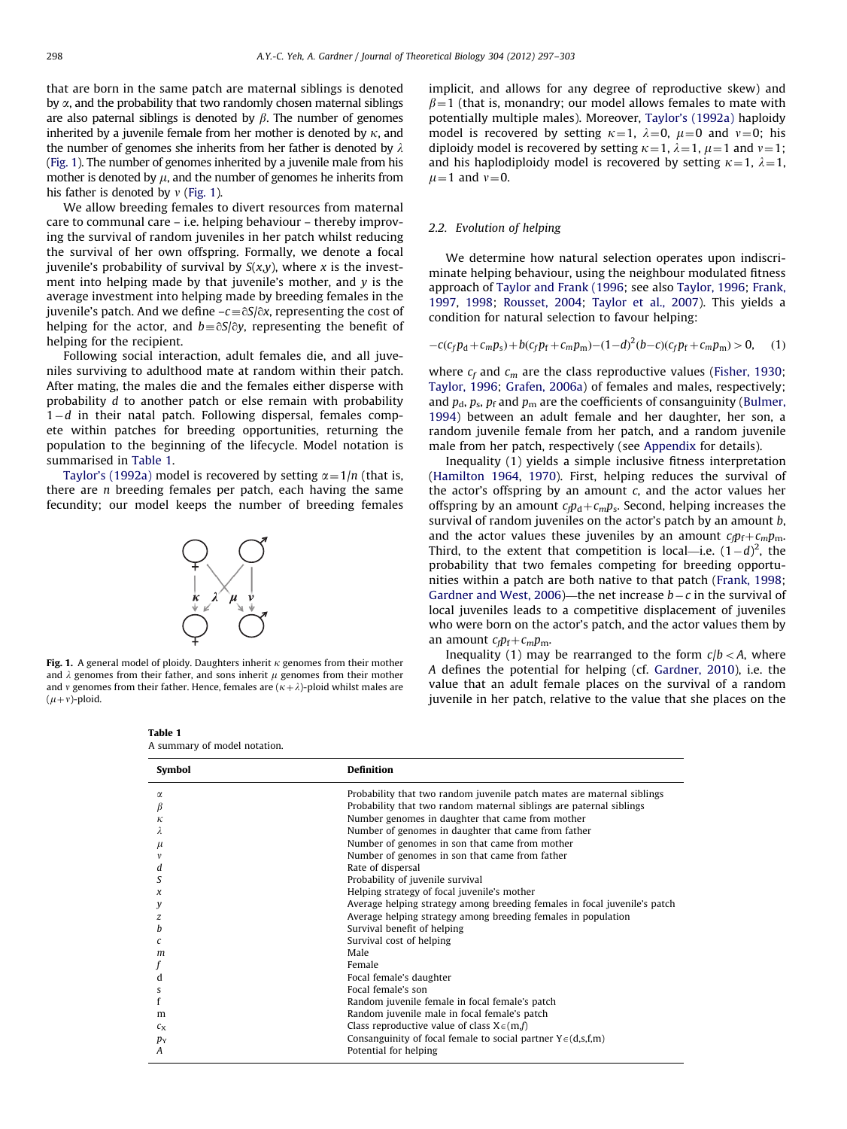that are born in the same patch are maternal siblings is denoted by  $\alpha$ , and the probability that two randomly chosen maternal siblings are also paternal siblings is denoted by  $\beta$ . The number of genomes inherited by a juvenile female from her mother is denoted by  $\kappa$ , and the number of genomes she inherits from her father is denoted by  $\lambda$ (Fig. 1). The number of genomes inherited by a juvenile male from his mother is denoted by  $\mu$ , and the number of genomes he inherits from his father is denoted by  $v$  (Fig. 1).

We allow breeding females to divert resources from maternal care to communal care – i.e. helping behaviour – thereby improving the survival of random juveniles in her patch whilst reducing the survival of her own offspring. Formally, we denote a focal iuvenile's probability of survival by  $S(x,y)$ , where x is the investment into helping made by that juvenile's mother, and  $y$  is the average investment into helping made by breeding females in the juvenile's patch. And we define – $c$   $\equiv$   $\stackrel{\frown}{\otimes}$  f $\stackrel{\frown}{\otimes}$  representing the cost of helping for the actor, and  $b\!\equiv\!\eth\mathsf{S}/\eth y$ , representing the benefit of helping for the recipient.

Following social interaction, adult females die, and all juveniles surviving to adulthood mate at random within their patch. After mating, the males die and the females either disperse with probability d to another patch or else remain with probability  $1-d$  in their natal patch. Following dispersal, females compete within patches for breeding opportunities, returning the population to the beginning of the lifecycle. Model notation is summarised in Table 1.

[Taylor's \(1992a\)](#page-6-0) model is recovered by setting  $\alpha = 1/n$  (that is, there are  $n$  breeding females per patch, each having the same fecundity; our model keeps the number of breeding females



Fig. 1. A general model of ploidy. Daughters inherit  $\kappa$  genomes from their mother and  $\lambda$  genomes from their father, and sons inherit  $\mu$  genomes from their mother and v genomes from their father. Hence, females are  $(\kappa+\lambda)$ -ploid whilst males are  $(\mu+v)$ -ploid.

implicit, and allows for any degree of reproductive skew) and  $\beta$ =1 (that is, monandry; our model allows females to mate with potentially multiple males). Moreover, [Taylor's \(1992a\)](#page-6-0) haploidy model is recovered by setting  $\kappa=1$ ,  $\lambda=0$ ,  $\mu=0$  and  $\nu=0$ ; his diploidy model is recovered by setting  $\kappa = 1$ ,  $\lambda = 1$ ,  $\mu = 1$  and  $\nu = 1$ ; and his haplodiploidy model is recovered by setting  $\kappa=1, \lambda=1,$  $\mu$ =1 and  $\nu$ =0.

#### 2.2. Evolution of helping

We determine how natural selection operates upon indiscriminate helping behaviour, using the neighbour modulated fitness approach of [Taylor and Frank \(1996;](#page-6-0) see also [Taylor, 1996](#page-6-0); [Frank,](#page-5-0) [1997,](#page-5-0) [1998;](#page-5-0) [Rousset, 2004](#page-6-0); [Taylor et al., 2007\)](#page-6-0). This yields a condition for natural selection to favour helping:

$$
-c(c_f p_d + c_m p_s) + b(c_f p_f + c_m p_m) - (1 - d)^2 (b - c)(c_f p_f + c_m p_m) > 0, \quad (1)
$$

where  $c_f$  and  $c_m$  are the class reproductive values [\(Fisher, 1930;](#page-5-0) [Taylor, 1996](#page-6-0); [Grafen, 2006a\)](#page-5-0) of females and males, respectively; and  $p_d$ ,  $p_s$ ,  $p_f$  and  $p_m$  are the coefficients of consanguinity [\(Bulmer,](#page-5-0) [1994\)](#page-5-0) between an adult female and her daughter, her son, a random juvenile female from her patch, and a random juvenile male from her patch, respectively (see [Appendix](#page-4-0) for details).

Inequality (1) yields a simple inclusive fitness interpretation ([Hamilton 1964,](#page-5-0) [1970](#page-5-0)). First, helping reduces the survival of the actor's offspring by an amount  $c$ , and the actor values her offspring by an amount  $c_f p_d + c_m p_s$ . Second, helping increases the survival of random juveniles on the actor's patch by an amount b, and the actor values these juveniles by an amount  $c_{\rm f}p_{\rm f}+c_{\rm m}p_{\rm m}$ . Third, to the extent that competition is local—i.e.  $(1-d)^2$ , the probability that two females competing for breeding opportunities within a patch are both native to that patch [\(Frank, 1998;](#page-5-0) [Gardner and West, 2006\)](#page-5-0)—the net increase  $b - c$  in the survival of local juveniles leads to a competitive displacement of juveniles who were born on the actor's patch, and the actor values them by an amount  $c_f p_f + c_m p_m$ .

Inequality (1) may be rearranged to the form  $c/b < A$ , where A defines the potential for helping (cf. [Gardner, 2010\)](#page-5-0), i.e. the value that an adult female places on the survival of a random juvenile in her patch, relative to the value that she places on the

| Probability that two random juvenile patch mates are maternal siblings<br>$\alpha$ |  |
|------------------------------------------------------------------------------------|--|
|                                                                                    |  |
| Probability that two random maternal siblings are paternal siblings<br>β           |  |
| Number genomes in daughter that came from mother<br>к                              |  |
| Number of genomes in daughter that came from father                                |  |
| Number of genomes in son that came from mother<br>$\mu$                            |  |
| Number of genomes in son that came from father                                     |  |
| Rate of dispersal<br>d                                                             |  |
| Probability of juvenile survival<br>S                                              |  |
| Helping strategy of focal juvenile's mother<br>x                                   |  |
| Average helping strategy among breeding females in focal juvenile's patch<br>у     |  |
| Average helping strategy among breeding females in population<br>z                 |  |
| Survival benefit of helping<br>h                                                   |  |
| Survival cost of helping<br>C                                                      |  |
| Male<br>m                                                                          |  |
| Female                                                                             |  |
| Focal female's daughter<br>d                                                       |  |
| Focal female's son<br>s                                                            |  |
| Random juvenile female in focal female's patch                                     |  |
| Random juvenile male in focal female's patch<br>m                                  |  |
| Class reproductive value of class $X \in (m, f)$<br>$c_{\rm X}$                    |  |
| Consanguinity of focal female to social partner $Y \in (d,s,f,m)$<br>$p_Y$         |  |
| Potential for helping<br>A                                                         |  |

Table 1 A summary of model notation.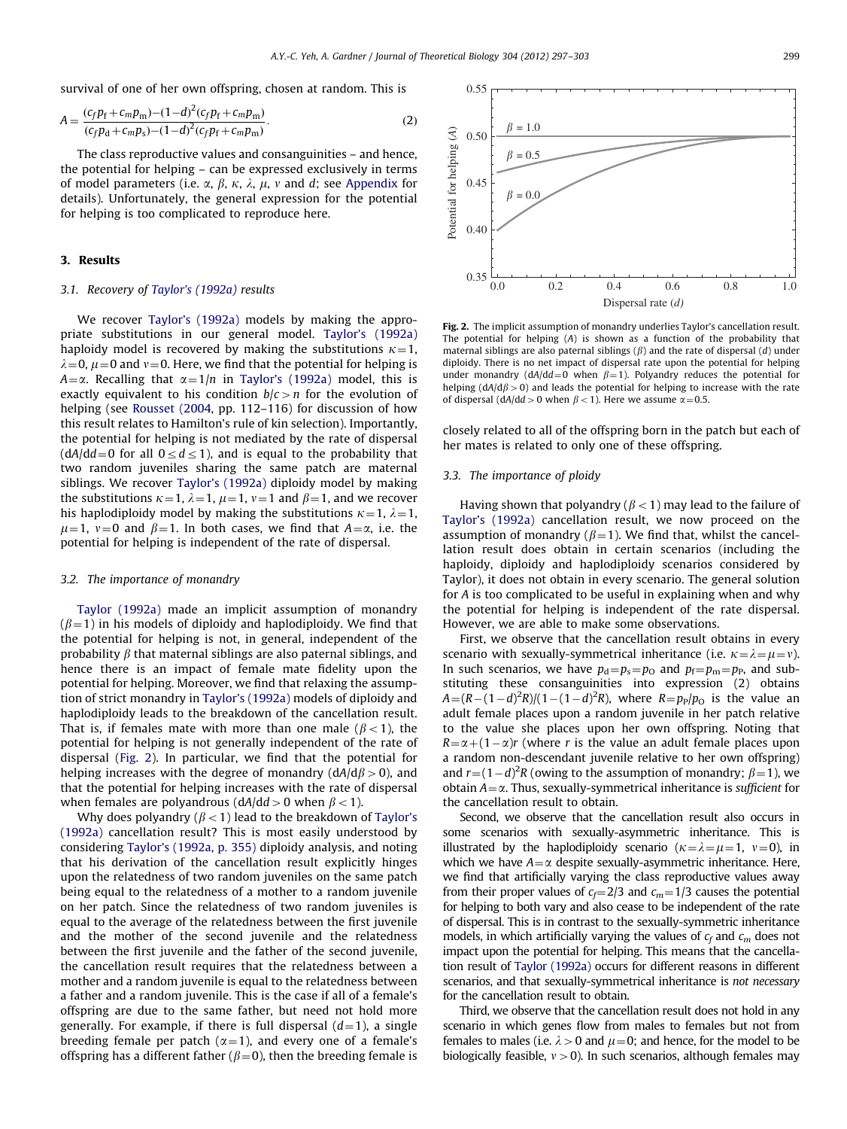survival of one of her own offspring, chosen at random. This is

$$
A = \frac{(c_f p_f + c_m p_m) - (1 - d)^2 (c_f p_f + c_m p_m)}{(c_f p_d + c_m p_s) - (1 - d)^2 (c_f p_f + c_m p_m)}.
$$
\n(2)

The class reproductive values and consanguinities – and hence, the potential for helping – can be expressed exclusively in terms of model parameters (i.e.  $\alpha$ ,  $\beta$ ,  $\kappa$ ,  $\lambda$ ,  $\mu$ ,  $\nu$  and d; see [Appendix](#page-4-0) for details). Unfortunately, the general expression for the potential for helping is too complicated to reproduce here.

## 3. Results

#### 3.1. Recovery of [Taylor's \(1992a\)](#page-6-0) results

We recover [Taylor's \(1992a\)](#page-6-0) models by making the appropriate substitutions in our general model. [Taylor's \(1992a\)](#page-6-0) haploidy model is recovered by making the substitutions  $\kappa = 1$ ,  $\lambda=0$ ,  $\mu=0$  and  $\nu=0$ . Here, we find that the potential for helping is  $A=\alpha$ . Recalling that  $\alpha=1/n$  in [Taylor's \(1992a\)](#page-6-0) model, this is exactly equivalent to his condition  $b/c > n$  for the evolution of helping (see [Rousset \(2004](#page-6-0), pp. 112-116) for discussion of how this result relates to Hamilton's rule of kin selection). Importantly, the potential for helping is not mediated by the rate of dispersal  $(dA/dd=0$  for all  $0 \leq d \leq 1$ ), and is equal to the probability that two random juveniles sharing the same patch are maternal siblings. We recover [Taylor's \(1992a\)](#page-6-0) diploidy model by making the substitutions  $\kappa=1$ ,  $\lambda=1$ ,  $\mu=1$ ,  $\nu=1$  and  $\beta=1$ , and we recover his haplodiploidy model by making the substitutions  $\kappa = 1$ ,  $\lambda = 1$ ,  $\mu=1$ ,  $\nu=0$  and  $\beta=1$ . In both cases, we find that  $A=\alpha$ , i.e. the potential for helping is independent of the rate of dispersal.

#### 3.2. The importance of monandry

[Taylor \(1992a\)](#page-6-0) made an implicit assumption of monandry  $(\beta=1)$  in his models of diploidy and haplodiploidy. We find that the potential for helping is not, in general, independent of the probability  $\beta$  that maternal siblings are also paternal siblings, and hence there is an impact of female mate fidelity upon the potential for helping. Moreover, we find that relaxing the assumption of strict monandry in [Taylor's \(1992a\)](#page-6-0) models of diploidy and haplodiploidy leads to the breakdown of the cancellation result. That is, if females mate with more than one male ( $\beta$  < 1), the potential for helping is not generally independent of the rate of dispersal (Fig. 2). In particular, we find that the potential for helping increases with the degree of monandry ( $dA/d\beta > 0$ ), and that the potential for helping increases with the rate of dispersal when females are polyandrous ( $dA/dd > 0$  when  $\beta < 1$ ).

Why does polyandry ( $\beta$  < 1) lead to the breakdown of [Taylor's](#page-6-0) [\(1992a\)](#page-6-0) cancellation result? This is most easily understood by considering [Taylor's \(1992a, p. 355\)](#page-6-0) diploidy analysis, and noting that his derivation of the cancellation result explicitly hinges upon the relatedness of two random juveniles on the same patch being equal to the relatedness of a mother to a random juvenile on her patch. Since the relatedness of two random juveniles is equal to the average of the relatedness between the first juvenile and the mother of the second juvenile and the relatedness between the first juvenile and the father of the second juvenile, the cancellation result requires that the relatedness between a mother and a random juvenile is equal to the relatedness between a father and a random juvenile. This is the case if all of a female's offspring are due to the same father, but need not hold more generally. For example, if there is full dispersal  $(d=1)$ , a single breeding female per patch ( $\alpha=1$ ), and every one of a female's offspring has a different father ( $\beta$ =0), then the breeding female is

Fig. 2. The implicit assumption of monandry underlies Taylor's cancellation result. The potential for helping (A) is shown as a function of the probability that maternal siblings are also paternal siblings  $(\beta)$  and the rate of dispersal  $(d)$  under diploidy. There is no net impact of dispersal rate upon the potential for helping under monandry (dA/dd=0 when  $\beta$ =1). Polyandry reduces the potential for helping ( $dA/d\beta > 0$ ) and leads the potential for helping to increase with the rate of dispersal (dA/dd > 0 when  $\beta$  < 1). Here we assume  $\alpha$  = 0.5.

closely related to all of the offspring born in the patch but each of her mates is related to only one of these offspring.

#### 3.3. The importance of ploidy

Having shown that polyandry ( $\beta$  < 1) may lead to the failure of [Taylor's \(1992a\)](#page-6-0) cancellation result, we now proceed on the assumption of monandry ( $\beta$ =1). We find that, whilst the cancellation result does obtain in certain scenarios (including the haploidy, diploidy and haplodiploidy scenarios considered by Taylor), it does not obtain in every scenario. The general solution for A is too complicated to be useful in explaining when and why the potential for helping is independent of the rate dispersal. However, we are able to make some observations.

First, we observe that the cancellation result obtains in every scenario with sexually-symmetrical inheritance (i.e.  $\kappa = \lambda = \mu = v$ ). In such scenarios, we have  $p_d = p_s = p_0$  and  $p_f = p_m = p_p$ , and substituting these consanguinities into expression (2) obtains  $A = (R - (1-d)^2 R)/(1 - (1-d)^2 R)$ , where  $R = p_P/p_O$  is the value an adult female places upon a random juvenile in her patch relative to the value she places upon her own offspring. Noting that  $R = \alpha + (1 - \alpha)r$  (where r is the value an adult female places upon a random non-descendant juvenile relative to her own offspring) and  $r = (1 - d)^2 R$  (owing to the assumption of monandry;  $\beta = 1$ ), we obtain  $A = \alpha$ . Thus, sexually-symmetrical inheritance is sufficient for the cancellation result to obtain.

Second, we observe that the cancellation result also occurs in some scenarios with sexually-asymmetric inheritance. This is illustrated by the haplodiploidy scenario ( $\kappa = \lambda = \mu = 1$ ,  $v = 0$ ), in which we have  $A = \alpha$  despite sexually-asymmetric inheritance. Here, we find that artificially varying the class reproductive values away from their proper values of  $c_f = 2/3$  and  $c_m = 1/3$  causes the potential for helping to both vary and also cease to be independent of the rate of dispersal. This is in contrast to the sexually-symmetric inheritance models, in which artificially varying the values of  $c_f$  and  $c_m$  does not impact upon the potential for helping. This means that the cancellation result of [Taylor \(1992a\)](#page-6-0) occurs for different reasons in different scenarios, and that sexually-symmetrical inheritance is not necessary for the cancellation result to obtain.

Third, we observe that the cancellation result does not hold in any scenario in which genes flow from males to females but not from females to males (i.e.  $\lambda > 0$  and  $\mu = 0$ ; and hence, for the model to be biologically feasible,  $v > 0$ ). In such scenarios, although females may

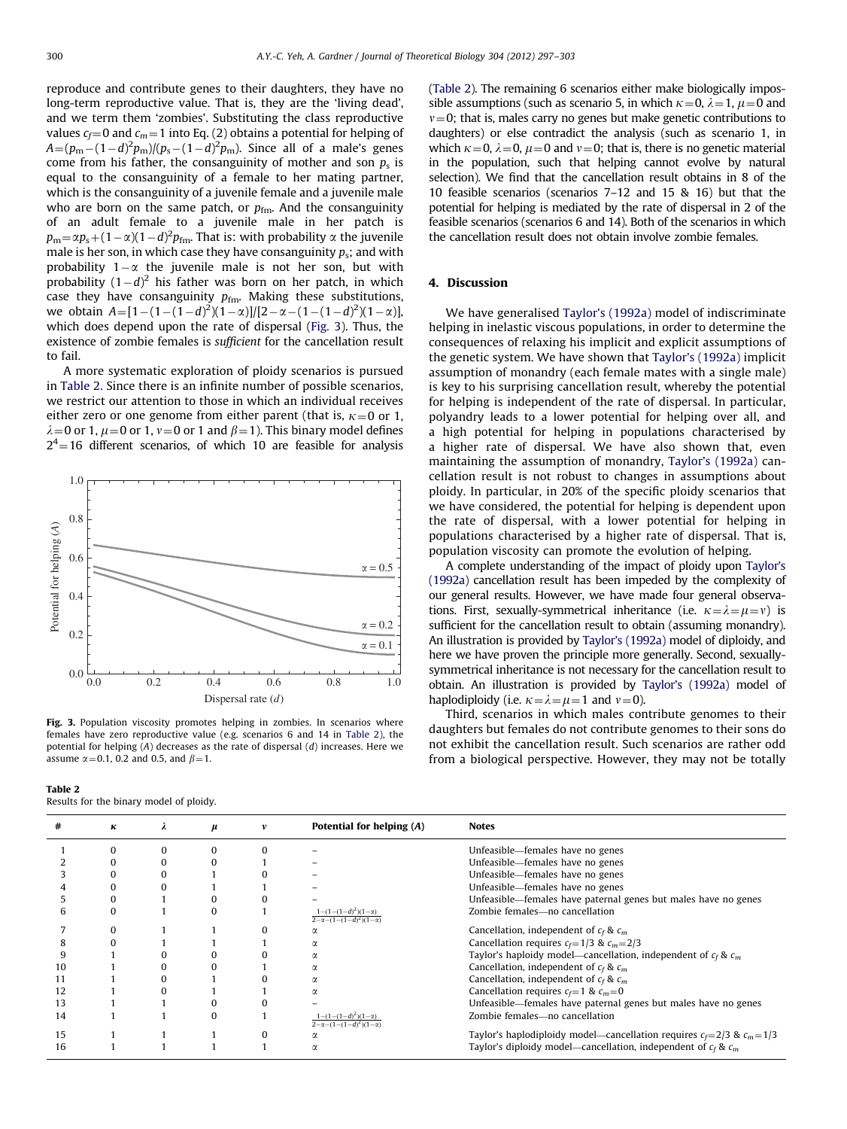<span id="page-3-0"></span>reproduce and contribute genes to their daughters, they have no long-term reproductive value. That is, they are the 'living dead', and we term them 'zombies'. Substituting the class reproductive values  $c_f$  and  $c_m$  = 1 into Eq. (2) obtains a potential for helping of  $A = (p_{\rm m} - (1-d)^2 p_{\rm m})/(p_{\rm s} - (1-d)^2 p_{\rm m})$ . Since all of a male's genes come from his father, the consanguinity of mother and son  $p_s$  is equal to the consanguinity of a female to her mating partner, which is the consanguinity of a juvenile female and a juvenile male who are born on the same patch, or  $p_{\text{fm}}$ . And the consanguinity of an adult female to a juvenile male in her patch is  $p_\mathrm{m} {=} \alpha p_\mathrm{s} {+} (1{-}\alpha) (1{-}d)^2 p_\mathrm{fm}.$  That is: with probability  $\alpha$  the juvenile male is her son, in which case they have consanguinity  $p_s$ ; and with probability  $1-\alpha$  the juvenile male is not her son, but with probability  $(1-d)^2$  his father was born on her patch, in which case they have consanguinity  $p_{\text{fm}}$ . Making these substitutions, we obtain  $A = [1 - (1 - (1 - d)^2)(1 - \alpha)] / [2 - \alpha - (1 - (1 - d)^2)(1 - \alpha)]$ , which does depend upon the rate of dispersal (Fig. 3). Thus, the existence of zombie females is sufficient for the cancellation result to fail.

A more systematic exploration of ploidy scenarios is pursued in Table 2. Since there is an infinite number of possible scenarios, we restrict our attention to those in which an individual receives either zero or one genome from either parent (that is,  $\kappa = 0$  or 1,  $\lambda = 0$  or 1,  $\mu = 0$  or 1,  $\nu = 0$  or 1 and  $\beta = 1$ ). This binary model defines  $2<sup>4</sup>=16$  different scenarios, of which 10 are feasible for analysis



Fig. 3. Population viscosity promotes helping in zombies. In scenarios where females have zero reproductive value (e.g. scenarios 6 and 14 in Table 2), the potential for helping (A) decreases as the rate of dispersal (d) increases. Here we assume  $\alpha$  = 0.1, 0.2 and 0.5, and  $\beta$  = 1.

Table 2 Results for the binary model of ploidy.

(Table 2). The remaining 6 scenarios either make biologically impossible assumptions (such as scenario 5, in which  $\kappa = 0$ ,  $\lambda = 1$ ,  $\mu = 0$  and  $v=0$ ; that is, males carry no genes but make genetic contributions to daughters) or else contradict the analysis (such as scenario 1, in which  $\kappa = 0$ ,  $\lambda = 0$ ,  $\mu = 0$  and  $\nu = 0$ ; that is, there is no genetic material in the population, such that helping cannot evolve by natural selection). We find that the cancellation result obtains in 8 of the 10 feasible scenarios (scenarios 7–12 and 15 & 16) but that the potential for helping is mediated by the rate of dispersal in 2 of the feasible scenarios (scenarios 6 and 14). Both of the scenarios in which the cancellation result does not obtain involve zombie females.

# 4. Discussion

We have generalised [Taylor's \(1992a\)](#page-6-0) model of indiscriminate helping in inelastic viscous populations, in order to determine the consequences of relaxing his implicit and explicit assumptions of the genetic system. We have shown that [Taylor's \(1992a\)](#page-6-0) implicit assumption of monandry (each female mates with a single male) is key to his surprising cancellation result, whereby the potential for helping is independent of the rate of dispersal. In particular, polyandry leads to a lower potential for helping over all, and a high potential for helping in populations characterised by a higher rate of dispersal. We have also shown that, even maintaining the assumption of monandry, [Taylor's \(1992a\)](#page-6-0) cancellation result is not robust to changes in assumptions about ploidy. In particular, in 20% of the specific ploidy scenarios that we have considered, the potential for helping is dependent upon the rate of dispersal, with a lower potential for helping in populations characterised by a higher rate of dispersal. That is, population viscosity can promote the evolution of helping.

A complete understanding of the impact of ploidy upon [Taylor's](#page-6-0) [\(1992a\)](#page-6-0) cancellation result has been impeded by the complexity of our general results. However, we have made four general observations. First, sexually-symmetrical inheritance (i.e.  $\kappa = \lambda = \mu = v$ ) is sufficient for the cancellation result to obtain (assuming monandry). An illustration is provided by [Taylor's \(1992a\)](#page-6-0) model of diploidy, and here we have proven the principle more generally. Second, sexuallysymmetrical inheritance is not necessary for the cancellation result to obtain. An illustration is provided by [Taylor's \(1992a\)](#page-6-0) model of haplodiploidy (i.e.  $\kappa = \lambda = \mu = 1$  and  $\nu = 0$ ).

Third, scenarios in which males contribute genomes to their daughters but females do not contribute genomes to their sons do not exhibit the cancellation result. Such scenarios are rather odd from a biological perspective. However, they may not be totally

|    | к | μ | Potential for helping (A)                                     | <b>Notes</b>                                                                 |
|----|---|---|---------------------------------------------------------------|------------------------------------------------------------------------------|
|    |   |   |                                                               | Unfeasible—females have no genes                                             |
|    |   |   |                                                               | Unfeasible—females have no genes                                             |
|    |   |   |                                                               | Unfeasible—females have no genes                                             |
|    |   |   |                                                               | Unfeasible—females have no genes                                             |
|    |   |   |                                                               | Unfeasible—females have paternal genes but males have no genes               |
|    | n |   | $1-(1-(1-d)^2)(1-\alpha)$<br>$2-\alpha-(1-(1-d)^2)(1-\alpha)$ | Zombie females-no cancellation                                               |
|    |   |   |                                                               | Cancellation, independent of $c_f$ & $c_m$                                   |
|    |   |   |                                                               | Cancellation requires $c_f = 1/3$ & $c_m = 2/3$                              |
|    |   |   | α                                                             | Taylor's haploidy model—cancellation, independent of $c_f$ & $c_m$           |
| 10 |   |   | α                                                             | Cancellation, independent of $c_f$ & $c_m$                                   |
|    |   |   | α                                                             | Cancellation, independent of $c_f$ & $c_m$                                   |
|    |   |   | α                                                             | Cancellation requires $c_f = 1$ & $c_m = 0$                                  |
| 13 |   |   |                                                               | Unfeasible—females have paternal genes but males have no genes               |
| 14 |   |   | $1-(1-(1-d)^2)(1-\alpha)$<br>$2-\alpha-(1-(1-d)^2)(1-\alpha)$ | Zombie females-no cancellation                                               |
| 15 |   |   |                                                               | Taylor's haplodiploidy model—cancellation requires $c_f = 2/3$ & $c_m = 1/3$ |
| 16 |   |   |                                                               | Taylor's diploidy model—cancellation, independent of $c_f$ & $c_m$           |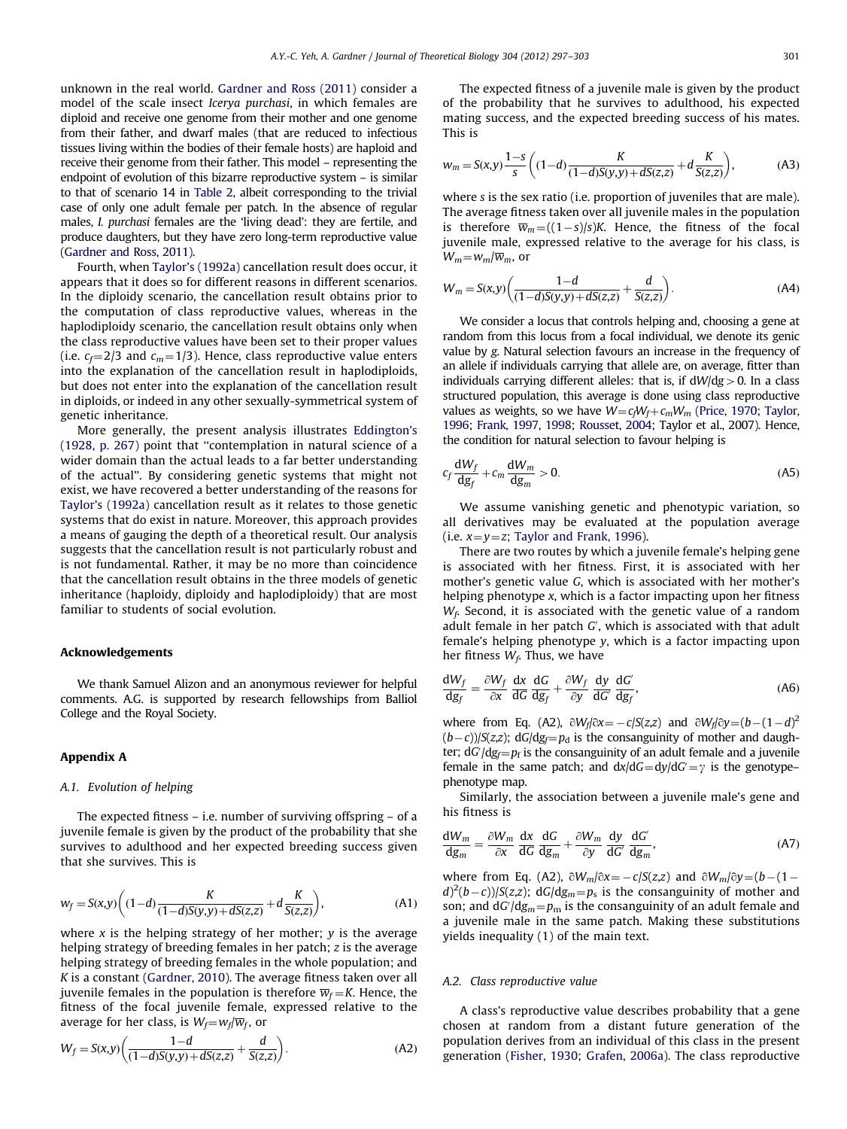<span id="page-4-0"></span>unknown in the real world. [Gardner and Ross \(2011\)](#page-5-0) consider a model of the scale insect Icerya purchasi, in which females are diploid and receive one genome from their mother and one genome from their father, and dwarf males (that are reduced to infectious tissues living within the bodies of their female hosts) are haploid and receive their genome from their father. This model – representing the endpoint of evolution of this bizarre reproductive system – is similar to that of scenario 14 in [Table 2,](#page-3-0) albeit corresponding to the trivial case of only one adult female per patch. In the absence of regular males, I. purchasi females are the 'living dead': they are fertile, and produce daughters, but they have zero long-term reproductive value [\(Gardner and Ross, 2011\)](#page-5-0).

Fourth, when [Taylor's \(1992a\)](#page-6-0) cancellation result does occur, it appears that it does so for different reasons in different scenarios. In the diploidy scenario, the cancellation result obtains prior to the computation of class reproductive values, whereas in the haplodiploidy scenario, the cancellation result obtains only when the class reproductive values have been set to their proper values (i.e.  $c_f = 2/3$  and  $c_m = 1/3$ ). Hence, class reproductive value enters into the explanation of the cancellation result in haplodiploids, but does not enter into the explanation of the cancellation result in diploids, or indeed in any other sexually-symmetrical system of genetic inheritance.

More generally, the present analysis illustrates [Eddington's](#page-5-0) [\(1928, p. 267\)](#page-5-0) point that ''contemplation in natural science of a wider domain than the actual leads to a far better understanding of the actual''. By considering genetic systems that might not exist, we have recovered a better understanding of the reasons for [Taylor's \(1992a\)](#page-6-0) cancellation result as it relates to those genetic systems that do exist in nature. Moreover, this approach provides a means of gauging the depth of a theoretical result. Our analysis suggests that the cancellation result is not particularly robust and is not fundamental. Rather, it may be no more than coincidence that the cancellation result obtains in the three models of genetic inheritance (haploidy, diploidy and haplodiploidy) that are most familiar to students of social evolution.

#### Acknowledgements

We thank Samuel Alizon and an anonymous reviewer for helpful comments. A.G. is supported by research fellowships from Balliol College and the Royal Society.

# Appendix A

#### A.1. Evolution of helping

The expected fitness – i.e. number of surviving offspring – of a juvenile female is given by the product of the probability that she survives to adulthood and her expected breeding success given that she survives. This is

$$
w_f = S(x,y) \bigg( (1-d) \frac{K}{(1-d)S(y,y) + dS(z,z)} + d \frac{K}{S(z,z)} \bigg), \tag{A1}
$$

where x is the helping strategy of her mother; y is the average helping strategy of breeding females in her patch; z is the average helping strategy of breeding females in the whole population; and K is a constant ([Gardner, 2010](#page-5-0)). The average fitness taken over all juvenile females in the population is therefore  $\overline{w}_f = K$ . Hence, the fitness of the focal juvenile female, expressed relative to the average for her class, is  $W_f = w_f/\overline{w}_f$ , or

$$
W_f = S(x,y) \left( \frac{1-d}{(1-d)S(y,y) + dS(z,z)} + \frac{d}{S(z,z)} \right). \tag{A2}
$$

The expected fitness of a juvenile male is given by the product of the probability that he survives to adulthood, his expected mating success, and the expected breeding success of his mates. This is

$$
w_m = S(x,y) \frac{1-s}{s} \left( (1-d) \frac{K}{(1-d)S(y,y) + dS(z,z)} + d \frac{K}{S(z,z)} \right),
$$
 (A3)

where s is the sex ratio (i.e. proportion of juveniles that are male). The average fitness taken over all juvenile males in the population is therefore  $\overline{w}_m = ((1-s)/s)K$ . Hence, the fitness of the focal juvenile male, expressed relative to the average for his class, is  $W_m = w_m/\overline{w}_m$ , or

$$
W_m = S(x,y) \left( \frac{1-d}{(1-d)S(y,y) + dS(z,z)} + \frac{d}{S(z,z)} \right).
$$
 (A4)

We consider a locus that controls helping and, choosing a gene at random from this locus from a focal individual, we denote its genic value by g. Natural selection favours an increase in the frequency of an allele if individuals carrying that allele are, on average, fitter than individuals carrying different alleles: that is, if  $dW/dg > 0$ . In a class structured population, this average is done using class reproductive values as weights, so we have  $W = c_fW_f + c_mW_m$  [\(Price, 1970](#page-6-0); [Taylor,](#page-6-0) [1996;](#page-6-0) [Frank, 1997,](#page-5-0) [1998;](#page-6-0) [Rousset, 2004](#page-6-0); Taylor et al., 2007). Hence, the condition for natural selection to favour helping is

$$
c_f \frac{dW_f}{dg_f} + c_m \frac{dW_m}{dg_m} > 0.
$$
 (A5)

We assume vanishing genetic and phenotypic variation, so all derivatives may be evaluated at the population average (i.e.  $x=y=z$ ; [Taylor and Frank, 1996](#page-6-0)).

There are two routes by which a juvenile female's helping gene is associated with her fitness. First, it is associated with her mother's genetic value G, which is associated with her mother's helping phenotype x, which is a factor impacting upon her fitness  $W_f$ . Second, it is associated with the genetic value of a random adult female in her patch  $G'$ , which is associated with that adult female's helping phenotype y, which is a factor impacting upon her fitness  $W_f$ . Thus, we have

$$
\frac{dW_f}{dg_f} = \frac{\partial W_f}{\partial x} \frac{dx}{dG} \frac{dG}{dg_f} + \frac{\partial W_f}{\partial y} \frac{dy}{dG'} \frac{dG'}{dg_f},
$$
(A6)

where from Eq. (A2),  $\partial W_f/\partial x = -c/S(z, z)$  and  $\partial W_f/\partial y = (b - (1 - d)^2)$  $(b-c)/S(z,z)$ ; dG/dg<sub>f</sub>= $p<sub>d</sub>$  is the consanguinity of mother and daughter;  $dG/dg_f = p_f$  is the consanguinity of an adult female and a juvenile female in the same patch; and  $dx/dG = dy/dG = \gamma$  is the genotypephenotype map.

Similarly, the association between a juvenile male's gene and his fitness is

$$
\frac{dW_m}{dg_m} = \frac{\partial W_m}{\partial x} \frac{dx}{dG} \frac{dG}{dg_m} + \frac{\partial W_m}{\partial y} \frac{dy}{dG'} \frac{dG'}{dg_m},
$$
 (A7)

where from Eq. (A2),  $\partial W_m/\partial x = -c/S(z,z)$  and  $\partial W_m/\partial y = (b-(1-\lambda)\cos\theta)\cos\theta$  $(d)^2(b-c)$ )/S(z,z); dG/dg<sub>m</sub>= $p_s$  is the consanguinity of mother and son; and  $dG/dg_m = p_m$  is the consanguinity of an adult female and a juvenile male in the same patch. Making these substitutions yields inequality (1) of the main text.

#### A.2. Class reproductive value

A class's reproductive value describes probability that a gene chosen at random from a distant future generation of the population derives from an individual of this class in the present generation ([Fisher, 1930](#page-5-0); [Grafen, 2006a\)](#page-5-0). The class reproductive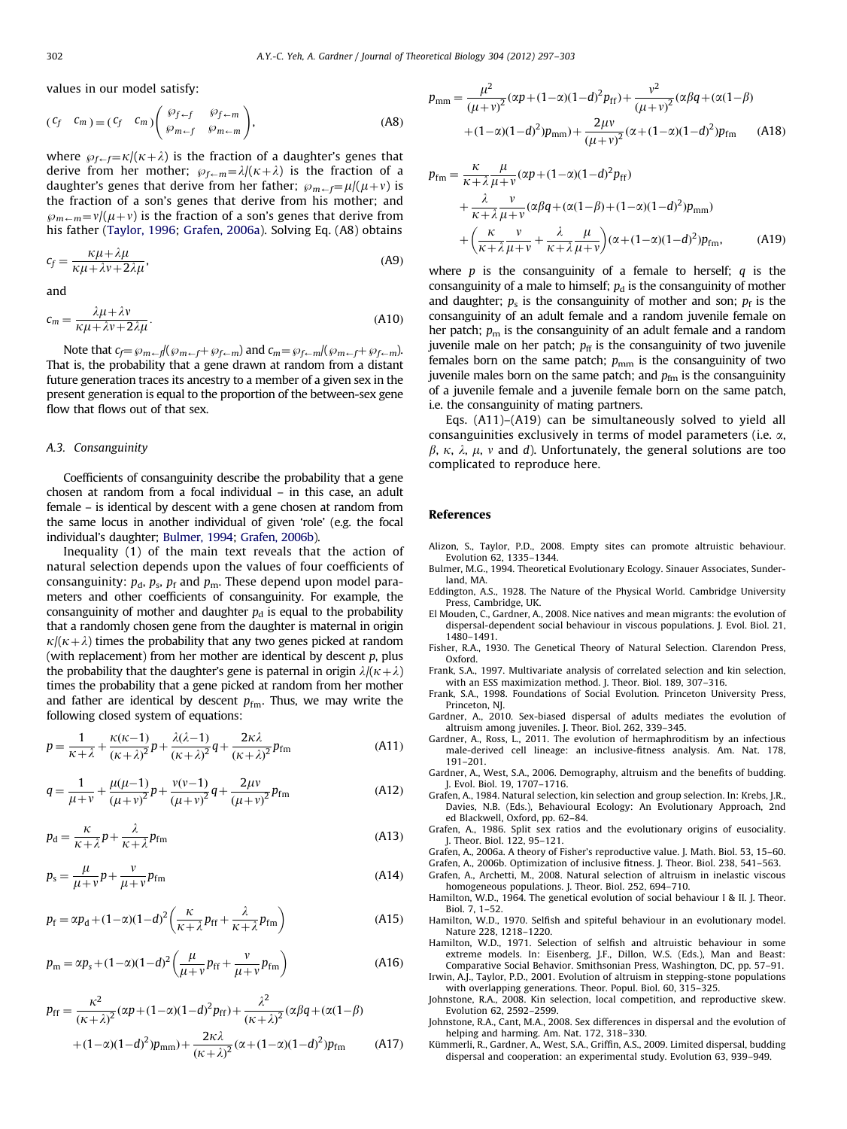<span id="page-5-0"></span>values in our model satisfy:

$$
(C_f \quad C_m) = (C_f \quad C_m) \begin{pmatrix} \varphi_{f-f} & \varphi_{f-m} \\ \varphi_{m-f} & \varphi_{m-m} \end{pmatrix}, \tag{A8}
$$

where  $\wp_{f-f} = \kappa/(\kappa+\lambda)$  is the fraction of a daughter's genes that derive from her mother;  $\wp_{f\leftarrow m} = \lambda/(\kappa+\lambda)$  is the fraction of a daughter's genes that derive from her father;  $\wp_{m \leftarrow f} = \mu/(\mu + v)$  is the fraction of a son's genes that derive from his mother; and  $\wp_{m\leftarrow m}=v/(\mu+v)$  is the fraction of a son's genes that derive from his father [\(Taylor, 1996](#page-6-0); Grafen, 2006a). Solving Eq. (A8) obtains

$$
c_f = \frac{\kappa \mu + \lambda \mu}{\kappa \mu + \lambda \nu + 2\lambda \mu},\tag{A9}
$$

and

$$
c_m = \frac{\lambda \mu + \lambda v}{\kappa \mu + \lambda v + 2\lambda \mu}.
$$
 (A10)

Note that  $c_f = \wp_{m \leftarrow f}(\wp_{m \leftarrow f} + \wp_{f \leftarrow m})$  and  $c_m = \wp_{f \leftarrow m}/(\wp_{m \leftarrow f} + \wp_{f \leftarrow m})$ . That is, the probability that a gene drawn at random from a distant future generation traces its ancestry to a member of a given sex in the present generation is equal to the proportion of the between-sex gene flow that flows out of that sex.

## A.3. Consanguinity

Coefficients of consanguinity describe the probability that a gene chosen at random from a focal individual – in this case, an adult female – is identical by descent with a gene chosen at random from the same locus in another individual of given 'role' (e.g. the focal individual's daughter; Bulmer, 1994; Grafen, 2006b).

Inequality (1) of the main text reveals that the action of natural selection depends upon the values of four coefficients of consanguinity:  $p_d$ ,  $p_s$ ,  $p_f$  and  $p_m$ . These depend upon model parameters and other coefficients of consanguinity. For example, the consanguinity of mother and daughter  $p_d$  is equal to the probability that a randomly chosen gene from the daughter is maternal in origin  $\kappa/(\kappa+\lambda)$  times the probability that any two genes picked at random (with replacement) from her mother are identical by descent  $p$ , plus the probability that the daughter's gene is paternal in origin  $\lambda/(\kappa+\lambda)$ times the probability that a gene picked at random from her mother and father are identical by descent  $p_{\text{fm}}$ . Thus, we may write the following closed system of equations:

$$
p = \frac{1}{\kappa + \lambda} + \frac{\kappa(\kappa - 1)}{(\kappa + \lambda)^2} p + \frac{\lambda(\lambda - 1)}{(\kappa + \lambda)^2} q + \frac{2\kappa\lambda}{(\kappa + \lambda)^2} p_{\text{fm}}
$$
(A11)

$$
q = \frac{1}{\mu + \nu} + \frac{\mu(\mu - 1)}{(\mu + \nu)^2} p + \frac{\nu(\nu - 1)}{(\mu + \nu)^2} q + \frac{2\mu\nu}{(\mu + \nu)^2} p_{\text{fm}}
$$
(A12)

$$
p_{\rm d} = \frac{\kappa}{\kappa + \lambda} p + \frac{\lambda}{\kappa + \lambda} p_{\rm fm}
$$
 (A13)

$$
p_{\rm s} = \frac{\mu}{\mu + \nu} p + \frac{\nu}{\mu + \nu} p_{\rm fm} \tag{A14}
$$

$$
p_{\rm f} = \alpha p_{\rm d} + (1 - \alpha)(1 - d)^2 \left(\frac{\kappa}{\kappa + \lambda} p_{\rm ff} + \frac{\lambda}{\kappa + \lambda} p_{\rm fm}\right) \tag{A15}
$$

$$
p_{\rm m} = \alpha p_{\rm s} + (1 - \alpha)(1 - d)^2 \left( \frac{\mu}{\mu + v} p_{\rm ff} + \frac{v}{\mu + v} p_{\rm fm} \right)
$$
 (A16)

$$
p_{\rm ff} = \frac{\kappa^2}{(\kappa + \lambda)^2} (\alpha p + (1 - \alpha)(1 - d)^2 p_{\rm ff}) + \frac{\lambda^2}{(\kappa + \lambda)^2} (\alpha \beta q + (\alpha(1 - \beta) + (1 - \alpha)(1 - d)^2) p_{\rm mm}) + \frac{2\kappa\lambda}{(\kappa + \lambda)^2} (\alpha + (1 - \alpha)(1 - d)^2) p_{\rm fm}
$$
(A17)

$$
p_{\text{mm}} = \frac{\mu^2}{(\mu + v)^2} (\alpha p + (1 - \alpha)(1 - d)^2 p_{\text{ff}}) + \frac{v^2}{(\mu + v)^2} (\alpha \beta q + (\alpha(1 - \beta) + (1 - \alpha)(1 - d)^2) p_{\text{mm}}) + \frac{2\mu v}{(\mu + v)^2} (\alpha + (1 - \alpha)(1 - d)^2) p_{\text{fm}}
$$
(A18)

$$
p_{\text{fm}} = \frac{\kappa}{\kappa + \lambda} \frac{\mu}{\mu + \nu} (\alpha p + (1 - \alpha)(1 - d)^2 p_{\text{ff}})
$$
  
+ 
$$
\frac{\lambda}{\kappa + \lambda} \frac{\nu}{\mu + \nu} (\alpha \beta q + (\alpha(1 - \beta) + (1 - \alpha)(1 - d)^2) p_{\text{mm}})
$$
  
+ 
$$
\left(\frac{\kappa}{\kappa + \lambda} \frac{\nu}{\mu + \nu} + \frac{\lambda}{\kappa + \lambda} \frac{\mu}{\mu + \nu}\right) (\alpha + (1 - \alpha)(1 - d)^2) p_{\text{fm}},
$$
 (A19)

where  $p$  is the consanguinity of a female to herself;  $q$  is the consanguinity of a male to himself;  $p_d$  is the consanguinity of mother and daughter;  $p_s$  is the consanguinity of mother and son;  $p_f$  is the consanguinity of an adult female and a random juvenile female on her patch;  $p_m$  is the consanguinity of an adult female and a random juvenile male on her patch;  $p_{ff}$  is the consanguinity of two juvenile females born on the same patch;  $p_{mm}$  is the consanguinity of two juvenile males born on the same patch; and  $p_{\text{fm}}$  is the consanguinity of a juvenile female and a juvenile female born on the same patch, i.e. the consanguinity of mating partners.

Eqs. (A11)–(A19) can be simultaneously solved to yield all consanguinities exclusively in terms of model parameters (i.e.  $\alpha$ ,  $\beta$ ,  $\kappa$ ,  $\lambda$ ,  $\mu$ ,  $\nu$  and d). Unfortunately, the general solutions are too complicated to reproduce here.

#### References

- Alizon, S., Taylor, P.D., 2008. Empty sites can promote altruistic behaviour. Evolution 62, 1335–1344.
- Bulmer, M.G., 1994. Theoretical Evolutionary Ecology. Sinauer Associates, Sunderland, MA.
- Eddington, A.S., 1928. The Nature of the Physical World. Cambridge University Press, Cambridge, UK.
- El Mouden, C., Gardner, A., 2008. Nice natives and mean migrants: the evolution of dispersal-dependent social behaviour in viscous populations. J. Evol. Biol. 21, 1480–1491.
- Fisher, R.A., 1930. The Genetical Theory of Natural Selection. Clarendon Press, Oxford.
- Frank, S.A., 1997. Multivariate analysis of correlated selection and kin selection, with an ESS maximization method. J. Theor. Biol. 189, 307–316.
- Frank, S.A., 1998. Foundations of Social Evolution. Princeton University Press, Princeton, NJ.
- Gardner, A., 2010. Sex-biased dispersal of adults mediates the evolution of altruism among juveniles. J. Theor. Biol. 262, 339–345.
- Gardner, A., Ross, L., 2011. The evolution of hermaphroditism by an infectious male-derived cell lineage: an inclusive-fitness analysis. Am. Nat. 178, 191–201.
- Gardner, A., West, S.A., 2006. Demography, altruism and the benefits of budding. J. Evol. Biol. 19, 1707–1716.
- Grafen, A., 1984. Natural selection, kin selection and group selection. In: Krebs, J.R., Davies, N.B. (Eds.), Behavioural Ecology: An Evolutionary Approach, 2nd ed Blackwell, Oxford, pp. 62–84.
- Grafen, A., 1986. Split sex ratios and the evolutionary origins of eusociality. J. Theor. Biol. 122, 95–121.

Grafen, A., 2006a. A theory of Fisher's reproductive value. J. Math. Biol. 53, 15–60. Grafen, A., 2006b. Optimization of inclusive fitness. J. Theor. Biol. 238, 541–563.

- Grafen, A., Archetti, M., 2008. Natural selection of altruism in inelastic viscous homogeneous populations. J. Theor. Biol. 252, 694–710.
- Hamilton, W.D., 1964. The genetical evolution of social behaviour I & II. J. Theor. Biol. 7, 1–52.
- Hamilton, W.D., 1970. Selfish and spiteful behaviour in an evolutionary model. Nature 228, 1218–1220.
- Hamilton, W.D., 1971. Selection of selfish and altruistic behaviour in some extreme models. In: Eisenberg, J.F., Dillon, W.S. (Eds.), Man and Beast: Comparative Social Behavior. Smithsonian Press, Washington, DC, pp. 57–91.
- Irwin, A.J., Taylor, P.D., 2001. Evolution of altruism in stepping-stone populations with overlapping generations. Theor. Popul. Biol. 60, 315–325.
- Johnstone, R.A., 2008. Kin selection, local competition, and reproductive skew. Evolution 62, 2592–2599.
- Johnstone, R.A., Cant, M.A., 2008. Sex differences in dispersal and the evolution of helping and harming. Am. Nat. 172, 318–330.
- Kümmerli, R., Gardner, A., West, S.A., Griffin, A.S., 2009. Limited dispersal, budding dispersal and cooperation: an experimental study. Evolution 63, 939–949.